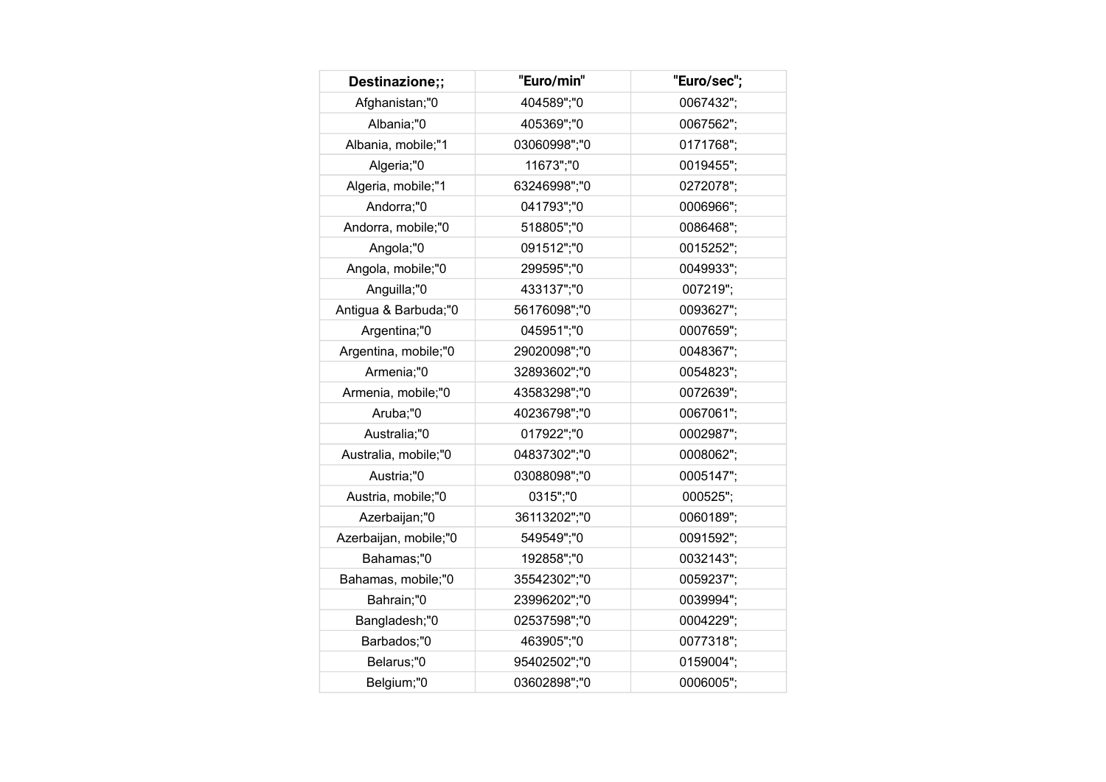| Destinazione;;        | "Euro/min"   | "Euro/sec"; |
|-----------------------|--------------|-------------|
| Afghanistan;"0        | 404589";"0   | 0067432";   |
| Albania;"0            | 405369";"0   | 0067562";   |
| Albania, mobile;"1    | 03060998";"0 | 0171768";   |
| Algeria;"0            | 11673";"0    | 0019455";   |
| Algeria, mobile;"1    | 63246998";"0 | 0272078";   |
| Andorra;"0            | 041793";"0   | 0006966";   |
| Andorra, mobile;"0    | 518805";"0   | 0086468";   |
| Angola;"0             | 091512";"0   | 0015252";   |
| Angola, mobile;"0     | 299595";"0   | 0049933";   |
| Anguilla;"0           | 433137";"0   | 007219";    |
| Antigua & Barbuda;"0  | 56176098";"0 | 0093627";   |
| Argentina;"0          | 045951";"0   | 0007659";   |
| Argentina, mobile;"0  | 29020098";"0 | 0048367";   |
| Armenia;"0            | 32893602";"0 | 0054823";   |
| Armenia, mobile;"0    | 43583298";"0 | 0072639";   |
| Aruba;"0              | 40236798";"0 | 0067061";   |
| Australia;"0          | 017922";"0   | 0002987";   |
| Australia, mobile;"0  | 04837302";"0 | 0008062";   |
| Austria;"0            | 03088098";"0 | 0005147";   |
| Austria, mobile;"0    | 0315";"0     | 000525";    |
| Azerbaijan;"0         | 36113202";"0 | 0060189";   |
| Azerbaijan, mobile;"0 | 549549";"0   | 0091592";   |
| Bahamas;"0            | 192858";"0   | 0032143";   |
| Bahamas, mobile;"0    | 35542302";"0 | 0059237";   |
| Bahrain;"0            | 23996202";"0 | 0039994";   |
| Bangladesh;"0         | 02537598";"0 | 0004229";   |
| Barbados;"0           | 463905";"0   | 0077318";   |
| Belarus;"0            | 95402502";"0 | 0159004";   |
| Belgium;"0            | 03602898";"0 | 0006005";   |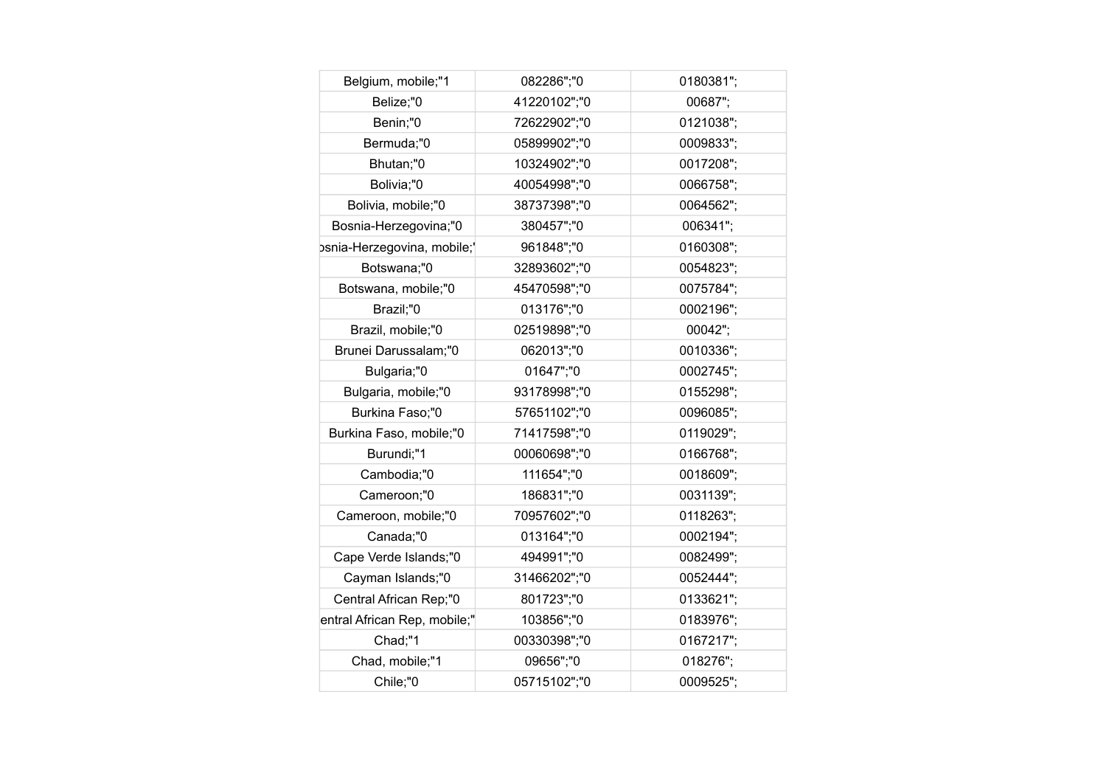| Belgium, mobile;"1           | 082286";"0   | 0180381"; |
|------------------------------|--------------|-----------|
| Belize;"0                    | 41220102";"0 | 00687";   |
| Benin;"0                     | 72622902";"0 | 0121038"; |
| Bermuda;"0                   | 05899902";"0 | 0009833"; |
| Bhutan;"0                    | 10324902";"0 | 0017208"; |
| Bolivia;"0                   | 40054998";"0 | 0066758"; |
| Bolivia, mobile;"0           | 38737398";"0 | 0064562"; |
| Bosnia-Herzegovina;"0        | 380457";"0   | 006341";  |
| psnia-Herzegovina, mobile;'  | 961848";"0   | 0160308"; |
| Botswana;"0                  | 32893602";"0 | 0054823"; |
| Botswana, mobile;"0          | 45470598";"0 | 0075784"; |
| Brazil;"0                    | 013176";"0   | 0002196"; |
| Brazil, mobile;"0            | 02519898";"0 | 00042";   |
| Brunei Darussalam;"0         | 062013";"0   | 0010336"; |
| Bulgaria;"0                  | 01647";"0    | 0002745"; |
| Bulgaria, mobile;"0          | 93178998";"0 | 0155298"; |
| Burkina Faso;"0              | 57651102";"0 | 0096085"; |
| Burkina Faso, mobile;"0      | 71417598";"0 | 0119029"; |
| Burundi;"1                   | 00060698";"0 | 0166768"; |
| Cambodia;"0                  | 111654";"0   | 0018609"; |
| Cameroon;"0                  | 186831";"0   | 0031139"; |
| Cameroon, mobile;"0          | 70957602";"0 | 0118263"; |
| Canada;"0                    | 013164";"0   | 0002194"; |
| Cape Verde Islands;"0        | 494991";"0   | 0082499"; |
| Cayman Islands;"0            | 31466202";"0 | 0052444"; |
| Central African Rep;"0       | 801723";"0   | 0133621"; |
| entral African Rep, mobile;" | 103856";"0   | 0183976"; |
| Chad;"1                      | 00330398";"0 | 0167217"; |
| Chad, mobile;"1              | 09656";"0    | 018276";  |
| Chile;"0                     | 05715102";"0 | 0009525": |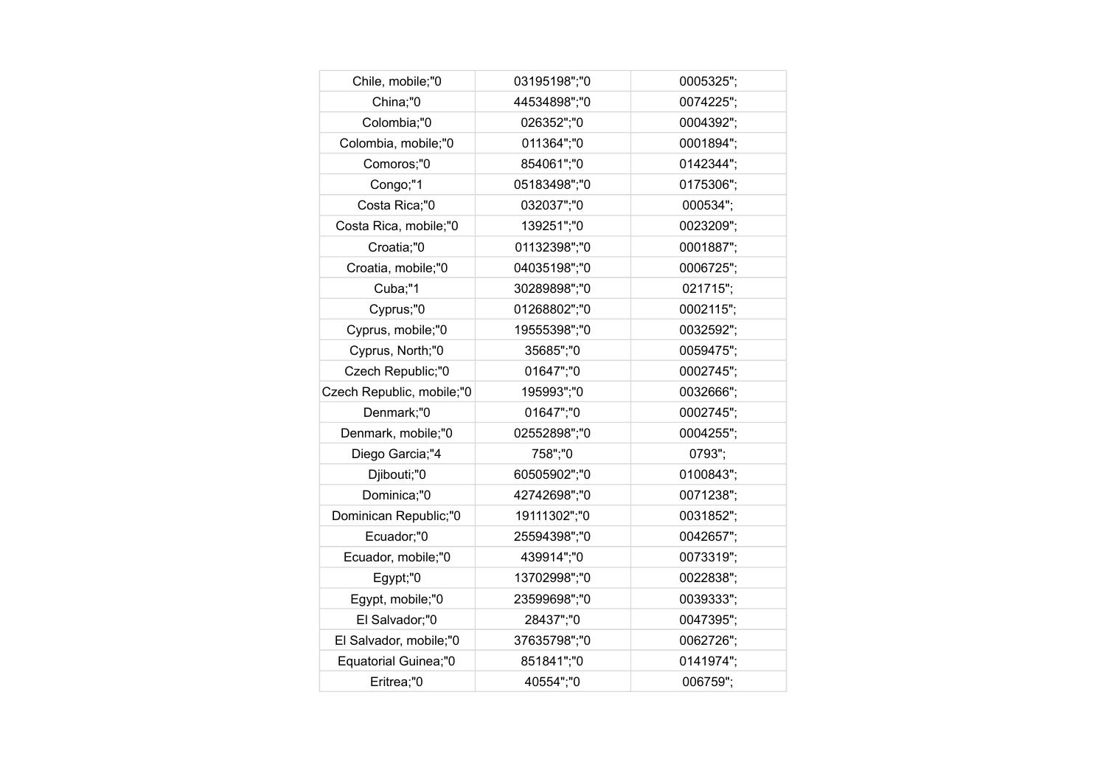| Chile, mobile;"0          | 03195198";"0 | 0005325"; |
|---------------------------|--------------|-----------|
| China;"0                  | 44534898";"0 | 0074225"; |
| Colombia;"0               | 026352";"0   | 0004392"; |
| Colombia, mobile;"0       | 011364";"0   | 0001894"; |
| Comoros;"0                | 854061";"0   | 0142344"; |
| Congo;"1                  | 05183498";"0 | 0175306"; |
| Costa Rica;"0             | 032037";"0   | 000534";  |
| Costa Rica, mobile;"0     | 139251";"0   | 0023209"; |
| Croatia;"0                | 01132398";"0 | 0001887"; |
| Croatia, mobile;"0        | 04035198";"0 | 0006725"; |
| Cuba;"1                   | 30289898";"0 | 021715";  |
| Cyprus;"0                 | 01268802";"0 | 0002115"; |
| Cyprus, mobile;"0         | 19555398";"0 | 0032592"; |
| Cyprus, North;"0          | 35685";"0    | 0059475"; |
| Czech Republic;"0         | 01647";"0    | 0002745"; |
| Czech Republic, mobile;"0 | 195993";"0   | 0032666"; |
| Denmark;"0                | 01647";"0    | 0002745"; |
| Denmark, mobile;"0        | 02552898";"0 | 0004255"; |
| Diego Garcia;"4           | 758";"0      | 0793";    |
| Djibouti;"0               | 60505902";"0 | 0100843"; |
| Dominica;"0               | 42742698";"0 | 0071238"; |
| Dominican Republic;"0     | 19111302";"0 | 0031852"; |
| Ecuador;"0                | 25594398";"0 | 0042657"; |
| Ecuador, mobile;"0        | 439914";"0   | 0073319"; |
| Egypt;"0                  | 13702998";"0 | 0022838"; |
| Egypt, mobile;"0          | 23599698";"0 | 0039333"; |
| El Salvador;"0            | 28437";"0    | 0047395"; |
| El Salvador, mobile;"0    | 37635798";"0 | 0062726"; |
| Equatorial Guinea;"0      | 851841";"0   | 0141974"; |
| Eritrea;"0                | 40554";"0    | 006759":  |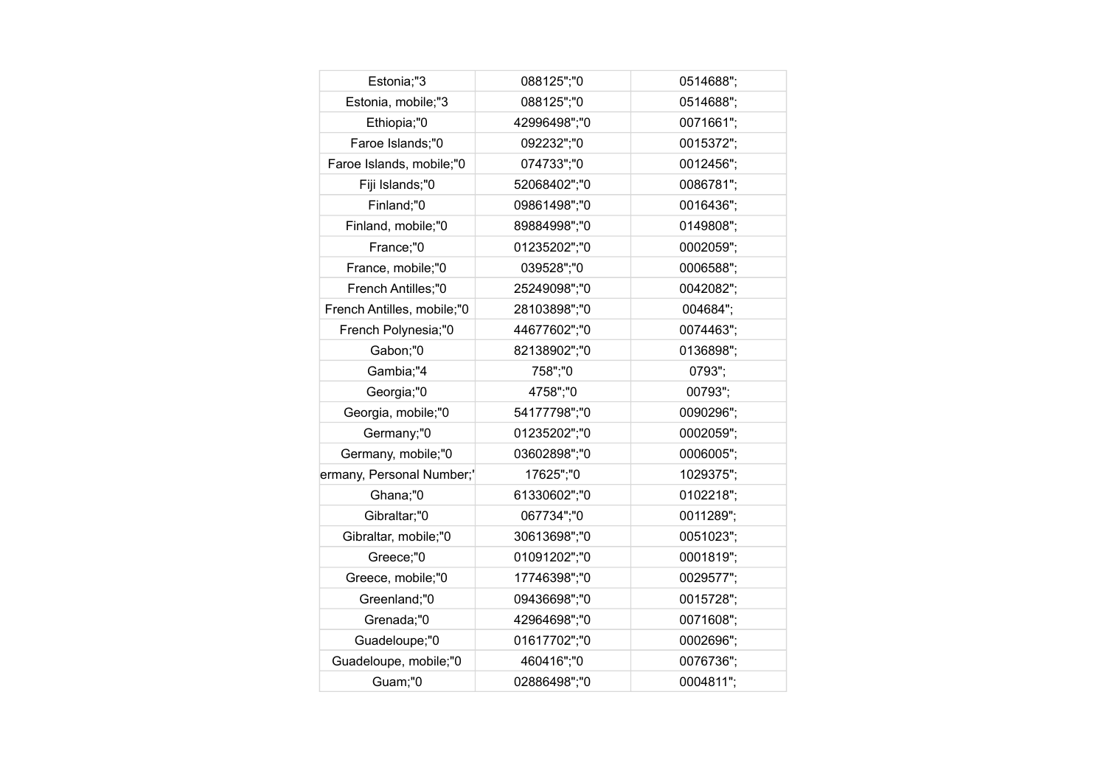| Estonia;"3                 | 088125";"0   | 0514688"; |
|----------------------------|--------------|-----------|
| Estonia, mobile;"3         | 088125";"0   | 0514688"; |
| Ethiopia;"0                | 42996498";"0 | 0071661"; |
| Faroe Islands;"0           | 092232";"0   | 0015372"; |
| Faroe Islands, mobile;"0   | 074733";"0   | 0012456"; |
| Fiji Islands;"0            | 52068402";"0 | 0086781"; |
| Finland;"0                 | 09861498";"0 | 0016436"; |
| Finland, mobile;"0         | 89884998";"0 | 0149808"; |
| France;"0                  | 01235202";"0 | 0002059"; |
| France, mobile;"0          | 039528";"0   | 0006588"; |
| French Antilles;"0         | 25249098";"0 | 0042082"; |
| French Antilles, mobile;"0 | 28103898";"0 | 004684";  |
| French Polynesia;"0        | 44677602";"0 | 0074463"; |
| Gabon;"0                   | 82138902";"0 | 0136898"; |
| Gambia;"4                  | 758";"0      | 0793";    |
| Georgia;"0                 | 4758";"0     | 00793";   |
| Georgia, mobile;"0         | 54177798";"0 | 0090296"; |
| Germany;"0                 | 01235202";"0 | 0002059"; |
| Germany, mobile;"0         | 03602898";"0 | 0006005"; |
| ermany, Personal Number;'  | 17625";"0    | 1029375"; |
| Ghana;"0                   | 61330602";"0 | 0102218"; |
| Gibraltar;"0               | 067734";"0   | 0011289"; |
| Gibraltar, mobile;"0       | 30613698";"0 | 0051023"; |
| Greece;"0                  | 01091202";"0 | 0001819"; |
| Greece, mobile;"0          | 17746398";"0 | 0029577"; |
| Greenland;"0               | 09436698";"0 | 0015728"; |
| Grenada;"0                 | 42964698";"0 | 0071608"; |
| Guadeloupe;"0              | 01617702";"0 | 0002696"; |
| Guadeloupe, mobile;"0      | 460416";"0   | 0076736"; |
| Guam;"0                    | 02886498";"0 | 0004811": |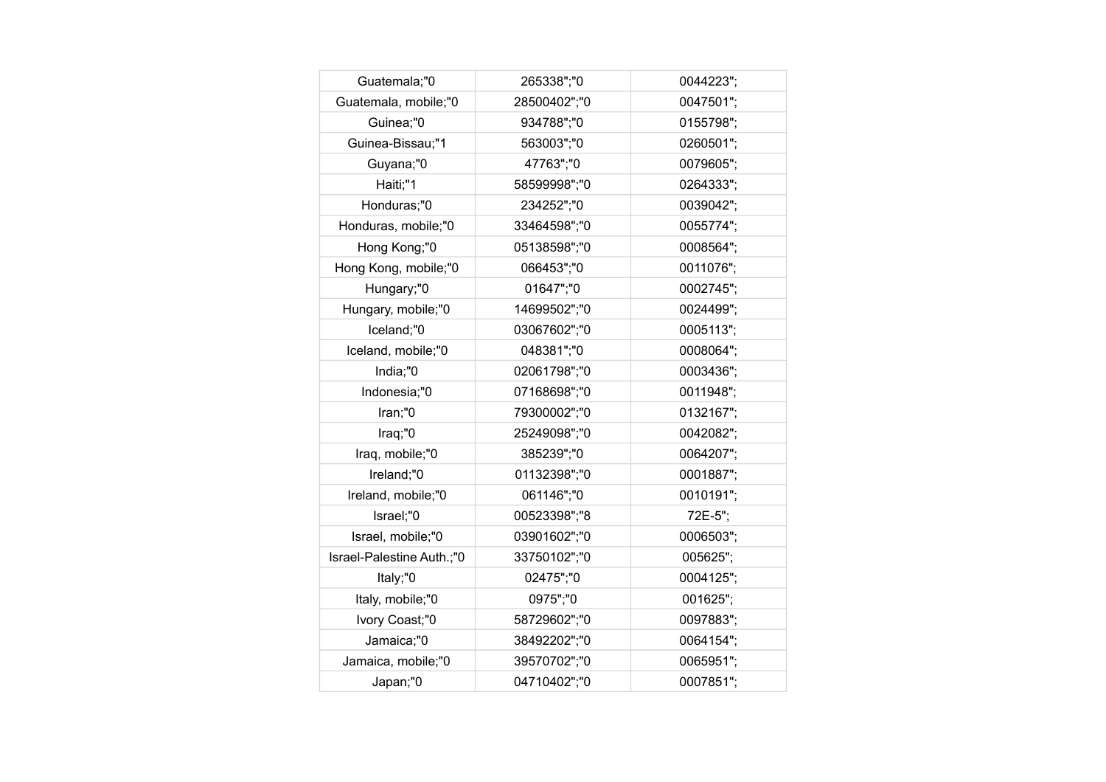| Guatemala;"0              | 265338";"0   | 0044223"; |
|---------------------------|--------------|-----------|
| Guatemala, mobile;"0      | 28500402";"0 | 0047501"; |
| Guinea;"0                 | 934788";"0   | 0155798"; |
| Guinea-Bissau;"1          | 563003";"0   | 0260501"; |
| Guyana;"0                 | 47763";"0    | 0079605"; |
| Haiti;"1                  | 58599998";"0 | 0264333"; |
| Honduras;"0               | 234252";"0   | 0039042"; |
| Honduras, mobile;"0       | 33464598";"0 | 0055774"; |
| Hong Kong;"0              | 05138598";"0 | 0008564"; |
| Hong Kong, mobile;"0      | 066453";"0   | 0011076"; |
| Hungary;"0                | 01647";"0    | 0002745"; |
| Hungary, mobile;"0        | 14699502";"0 | 0024499"; |
| Iceland;"0                | 03067602";"0 | 0005113"; |
| Iceland, mobile;"0        | 048381";"0   | 0008064"; |
| India;"0                  | 02061798";"0 | 0003436"; |
| Indonesia;"0              | 07168698";"0 | 0011948"; |
| Iran;"0                   | 79300002";"0 | 0132167"; |
| Iraq;"0                   | 25249098";"0 | 0042082"; |
| Iraq, mobile;"0           | 385239";"0   | 0064207"; |
| Ireland;"0                | 01132398";"0 | 0001887"; |
| Ireland, mobile;"0        | 061146";"0   | 0010191"; |
| Israel;"0                 | 00523398";"8 | 72E-5";   |
| Israel, mobile;"0         | 03901602";"0 | 0006503"; |
| Israel-Palestine Auth.;"0 | 33750102";"0 | 005625";  |
| Italy;"0                  | 02475";"0    | 0004125"; |
| Italy, mobile;"0          | 0975";"0     | 001625";  |
| Ivory Coast;"0            | 58729602";"0 | 0097883"; |
| Jamaica;"0                | 38492202";"0 | 0064154"; |
| Jamaica, mobile;"0        | 39570702";"0 | 0065951"; |
| Japan;"0                  | 04710402";"0 | 0007851"; |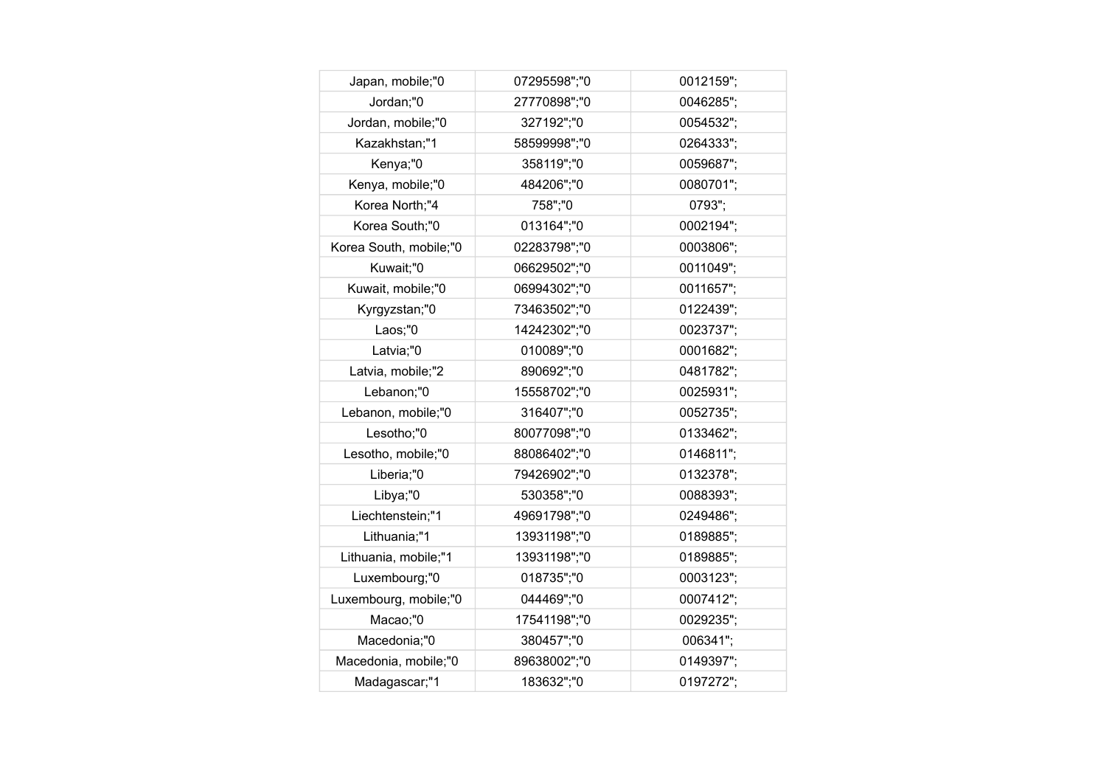| Japan, mobile;"0       | 07295598";"0 | 0012159"; |
|------------------------|--------------|-----------|
| Jordan;"0              | 27770898";"0 | 0046285"; |
| Jordan, mobile;"0      | 327192";"0   | 0054532"; |
| Kazakhstan;"1          | 58599998";"0 | 0264333"; |
| Kenya;"0               | 358119";"0   | 0059687"; |
| Kenya, mobile;"0       | 484206";"0   | 0080701"; |
| Korea North;"4         | 758";"0      | 0793";    |
| Korea South;"0         | 013164";"0   | 0002194"; |
| Korea South, mobile;"0 | 02283798";"0 | 0003806"; |
| Kuwait;"0              | 06629502";"0 | 0011049"; |
| Kuwait, mobile;"0      | 06994302";"0 | 0011657"; |
| Kyrgyzstan;"0          | 73463502";"0 | 0122439"; |
| Laos;"0                | 14242302";"0 | 0023737"; |
| Latvia;"0              | 010089";"0   | 0001682"; |
| Latvia, mobile;"2      | 890692";"0   | 0481782"; |
| Lebanon;"0             | 15558702";"0 | 0025931"; |
| Lebanon, mobile;"0     | 316407";"0   | 0052735"; |
| Lesotho;"0             | 80077098";"0 | 0133462"; |
| Lesotho, mobile;"0     | 88086402";"0 | 0146811"; |
| Liberia;"0             | 79426902";"0 | 0132378"; |
| Libya;"0               | 530358";"0   | 0088393"; |
| Liechtenstein;"1       | 49691798";"0 | 0249486"; |
| Lithuania;"1           | 13931198";"0 | 0189885"; |
| Lithuania, mobile;"1   | 13931198";"0 | 0189885"; |
| Luxembourg;"0          | 018735";"0   | 0003123"; |
| Luxembourg, mobile;"0  | 044469";"0   | 0007412"; |
| Macao;"0               | 17541198";"0 | 0029235"; |
| Macedonia;"0           | 380457";"0   | 006341";  |
| Macedonia, mobile;"0   | 89638002";"0 | 0149397"; |
| Madagascar;"1          | 183632";"0   | 0197272"; |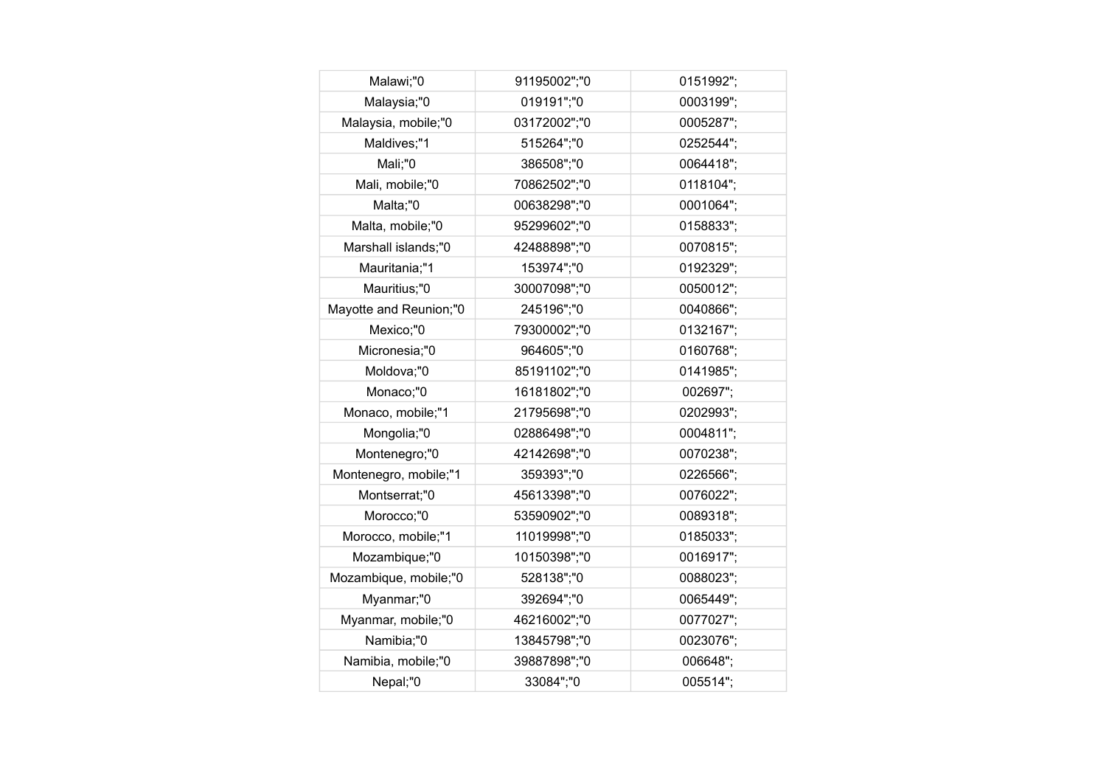| Malawi;"0              | 91195002";"0 | 0151992"; |
|------------------------|--------------|-----------|
| Malaysia;"0            | 019191";"0   | 0003199"; |
| Malaysia, mobile;"0    | 03172002";"0 | 0005287"; |
| Maldives;"1            | 515264";"0   | 0252544"; |
| Mali;"0                | 386508";"0   | 0064418"; |
| Mali, mobile;"0        | 70862502";"0 | 0118104"; |
| Malta;"0               | 00638298";"0 | 0001064"; |
| Malta, mobile;"0       | 95299602";"0 | 0158833"; |
| Marshall islands;"0    | 42488898";"0 | 0070815"; |
| Mauritania;"1          | 153974";"0   | 0192329"; |
| Mauritius;"0           | 30007098";"0 | 0050012"; |
| Mayotte and Reunion;"0 | 245196";"0   | 0040866"; |
| Mexico;"0              | 79300002";"0 | 0132167"; |
| Micronesia;"0          | 964605";"0   | 0160768"; |
| Moldova;"0             | 85191102";"0 | 0141985"; |
| Monaco;"0              | 16181802";"0 | 002697";  |
| Monaco, mobile;"1      | 21795698";"0 | 0202993"; |
| Mongolia;"0            | 02886498";"0 | 0004811"; |
| Montenegro;"0          | 42142698";"0 | 0070238"; |
| Montenegro, mobile;"1  | 359393";"0   | 0226566"; |
| Montserrat;"0          | 45613398";"0 | 0076022"; |
| Morocco;"0             | 53590902";"0 | 0089318"; |
| Morocco, mobile;"1     | 11019998";"0 | 0185033"; |
| Mozambique;"0          | 10150398";"0 | 0016917"; |
| Mozambique, mobile;"0  | 528138";"0   | 0088023"; |
| Myanmar;"0             | 392694";"0   | 0065449"; |
| Myanmar, mobile;"0     | 46216002";"0 | 0077027"; |
| Namibia;"0             | 13845798";"0 | 0023076"; |
| Namibia, mobile;"0     | 39887898";"0 | 006648";  |
| Nepal;"0               | 33084";"0    | 005514":  |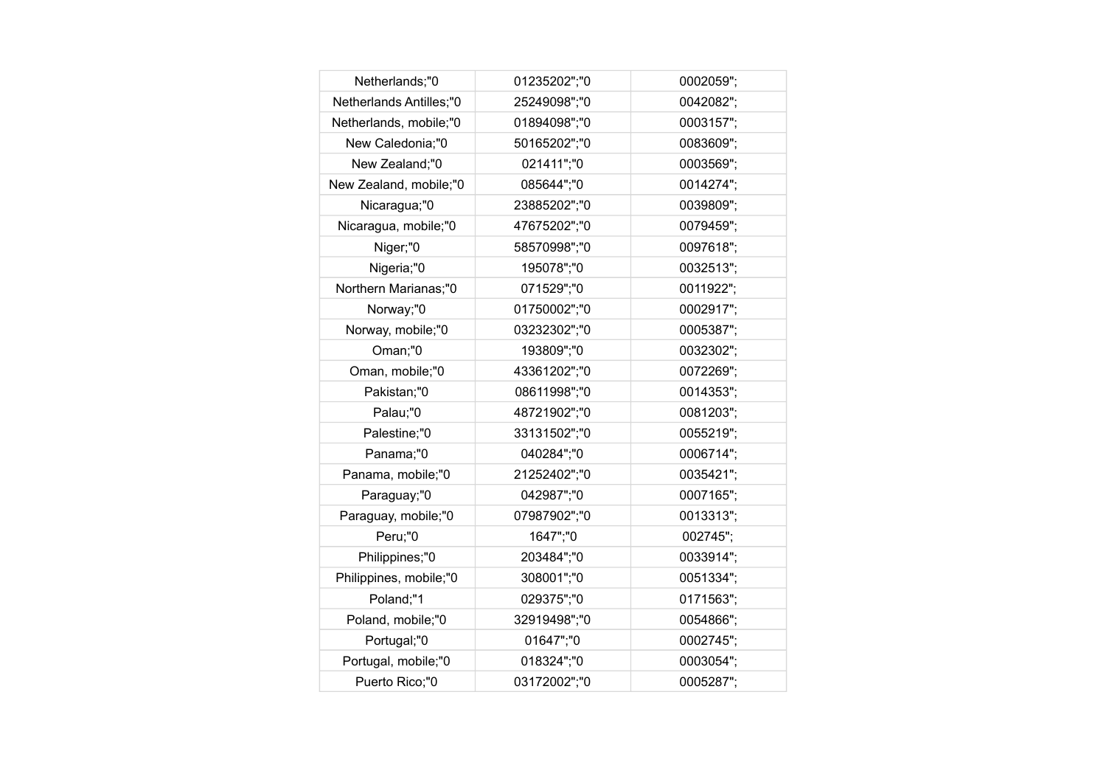| Netherlands;"0          | 01235202";"0 | 0002059"; |
|-------------------------|--------------|-----------|
| Netherlands Antilles;"0 | 25249098";"0 | 0042082"; |
| Netherlands, mobile;"0  | 01894098";"0 | 0003157"; |
| New Caledonia;"0        | 50165202";"0 | 0083609"; |
| New Zealand;"0          | 021411";"0   | 0003569"; |
| New Zealand, mobile;"0  | 085644";"0   | 0014274"; |
| Nicaragua;"0            | 23885202";"0 | 0039809"; |
| Nicaragua, mobile;"0    | 47675202";"0 | 0079459"; |
| Niger;"0                | 58570998";"0 | 0097618"; |
| Nigeria;"0              | 195078";"0   | 0032513"; |
| Northern Marianas;"0    | 071529";"0   | 0011922"; |
| Norway;"0               | 01750002";"0 | 0002917"; |
| Norway, mobile;"0       | 03232302";"0 | 0005387"; |
| Oman;"0                 | 193809";"0   | 0032302"; |
| Oman, mobile;"0         | 43361202";"0 | 0072269"; |
| Pakistan;"0             | 08611998";"0 | 0014353"; |
| Palau;"0                | 48721902";"0 | 0081203"; |
| Palestine;"0            | 33131502";"0 | 0055219"; |
| Panama;"0               | 040284";"0   | 0006714"; |
| Panama, mobile;"0       | 21252402";"0 | 0035421"; |
| Paraguay;"0             | 042987";"0   | 0007165"; |
| Paraguay, mobile;"0     | 07987902";"0 | 0013313"; |
| Peru;"0                 | 1647";"0     | 002745";  |
| Philippines;"0          | 203484";"0   | 0033914"; |
| Philippines, mobile;"0  | 308001";"0   | 0051334"; |
| Poland;"1               | 029375";"0   | 0171563"; |
| Poland, mobile;"0       | 32919498";"0 | 0054866"; |
| Portugal;"0             | 01647";"0    | 0002745"; |
| Portugal, mobile;"0     | 018324";"0   | 0003054"; |
| Puerto Rico;"0          | 03172002";"0 | 0005287"; |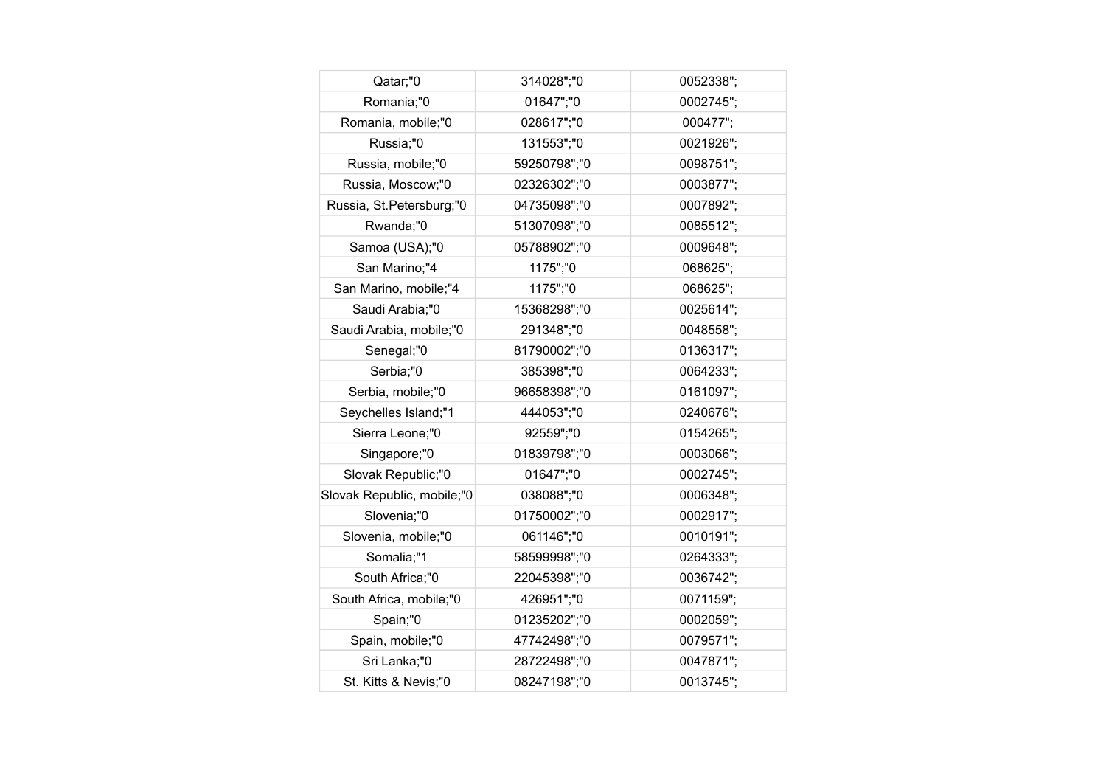| Qatar;"0                   | 314028";"0   | 0052338"; |
|----------------------------|--------------|-----------|
| Romania;"0                 | 01647";"0    | 0002745"; |
| Romania, mobile;"0         | 028617";"0   | 000477";  |
| Russia;"0                  | 131553";"0   | 0021926"; |
| Russia, mobile;"0          | 59250798";"0 | 0098751"; |
| Russia, Moscow;"0          | 02326302";"0 | 0003877"; |
| Russia, St.Petersburg;"0   | 04735098";"0 | 0007892"; |
| Rwanda;"0                  | 51307098";"0 | 0085512"; |
| Samoa (USA);"0             | 05788902";"0 | 0009648"; |
| San Marino;"4              | 1175";"0     | 068625";  |
| San Marino, mobile;"4      | 1175";"0     | 068625";  |
| Saudi Arabia;"0            | 15368298";"0 | 0025614"; |
| Saudi Arabia, mobile;"0    | 291348";"0   | 0048558"; |
| Senegal;"0                 | 81790002";"0 | 0136317"; |
| Serbia;"0                  | 385398";"0   | 0064233"; |
| Serbia, mobile;"0          | 96658398";"0 | 0161097"; |
| Seychelles Island;"1       | 444053";"0   | 0240676"; |
| Sierra Leone;"0            | 92559";"0    | 0154265"; |
| Singapore;"0               | 01839798";"0 | 0003066"; |
| Slovak Republic;"0         | 01647";"0    | 0002745"; |
| Slovak Republic, mobile;"0 | 038088";"0   | 0006348"; |
| Slovenia;"0                | 01750002";"0 | 0002917"; |
| Slovenia, mobile;"0        | 061146";"0   | 0010191"; |
| Somalia;"1                 | 58599998";"0 | 0264333"; |
| South Africa;"0            | 22045398";"0 | 0036742"; |
| South Africa, mobile;"0    | 426951";"0   | 0071159"; |
| Spain;"0                   | 01235202";"0 | 0002059"; |
| Spain, mobile;"0           | 47742498";"0 | 0079571"; |
| Sri Lanka;"0               | 28722498";"0 | 0047871"; |
| St. Kitts & Nevis;"0       | 08247198";"0 | 0013745"; |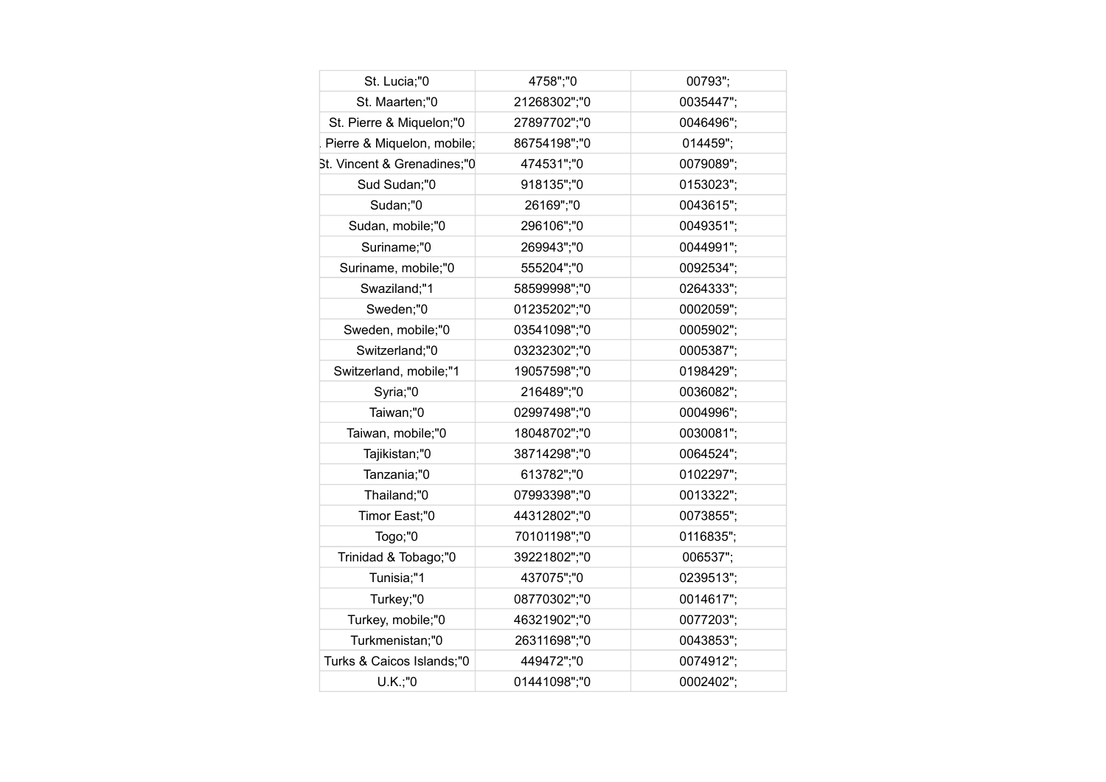| St. Lucia;"0                | 4758";"0     | 00793";   |
|-----------------------------|--------------|-----------|
| St. Maarten;"0              | 21268302";"0 | 0035447"; |
| St. Pierre & Miquelon;"0    | 27897702";"0 | 0046496"; |
| Pierre & Miquelon, mobile;  | 86754198";"0 | 014459";  |
| St. Vincent & Grenadines;"0 | 474531";"0   | 0079089"; |
| Sud Sudan;"0                | 918135";"0   | 0153023"; |
| Sudan;"0                    | 26169";"0    | 0043615"; |
| Sudan, mobile;"0            | 296106";"0   | 0049351"; |
| Suriname;"0                 | 269943";"0   | 0044991"; |
| Suriname, mobile;"0         | 555204";"0   | 0092534"; |
| Swaziland;"1                | 58599998";"0 | 0264333"; |
| Sweden;"0                   | 01235202";"0 | 0002059"; |
| Sweden, mobile;"0           | 03541098";"0 | 0005902"; |
| Switzerland;"0              | 03232302";"0 | 0005387"; |
| Switzerland, mobile;"1      | 19057598";"0 | 0198429"; |
| Syria;"0                    | 216489";"0   | 0036082"; |
| Taiwan;"0                   | 02997498";"0 | 0004996"; |
| Taiwan, mobile;"0           | 18048702";"0 | 0030081"; |
| Tajikistan;"0               | 38714298";"0 | 0064524"; |
| Tanzania;"0                 | 613782";"0   | 0102297"; |
| Thailand;"0                 | 07993398";"0 | 0013322"; |
| Timor East;"0               | 44312802";"0 | 0073855"; |
| Togo;"0                     | 70101198";"0 | 0116835"; |
| Trinidad & Tobago;"0        | 39221802";"0 | 006537";  |
| Tunisia;"1                  | 437075";"0   | 0239513"; |
| Turkey;"0                   | 08770302";"0 | 0014617"; |
| Turkey, mobile;"0           | 46321902";"0 | 0077203"; |
| Turkmenistan;"0             | 26311698";"0 | 0043853"; |
| Turks & Caicos Islands;"0   | 449472";"0   | 0074912"; |
| U.K.;"0                     | 01441098":"0 | 0002402"; |